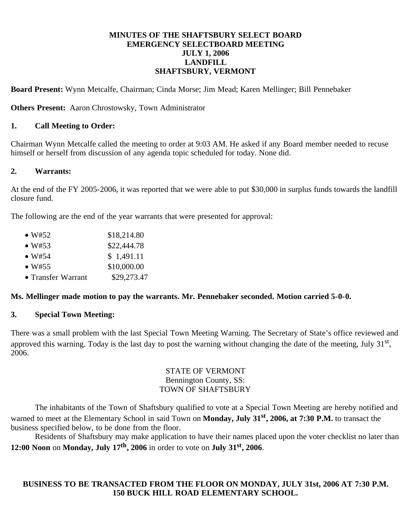#### **MINUTES OF THE SHAFTSBURY SELECT BOARD EMERGENCY SELECTBOARD MEETING JULY 1, 2006 LANDFILL SHAFTSBURY, VERMONT**

**Board Present:** Wynn Metcalfe, Chairman; Cinda Morse; Jim Mead; Karen Mellinger; Bill Pennebaker

**Others Present:** Aaron Chrostowsky, Town Administrator

### **1. Call Meeting to Order:**

Chairman Wynn Metcalfe called the meeting to order at 9:03 AM. He asked if any Board member needed to recuse himself or herself from discussion of any agenda topic scheduled for today. None did.

### **2. Warrants:**

At the end of the FY 2005-2006, it was reported that we were able to put \$30,000 in surplus funds towards the landfill closure fund.

The following are the end of the year warrants that were presented for approval:

| $\bullet$ W#52 | \$18,214.80 |
|----------------|-------------|
| ------         | $\cdots$    |

- $W#53$  \$22,444.78
- $W#54$  \$ 1,491.11
- $W#55$  \$10,000.00
- Transfer Warrant \$29,273.47

# **Ms. Mellinger made motion to pay the warrants. Mr. Pennebaker seconded. Motion carried 5-0-0.**

# **3. Special Town Meeting:**

There was a small problem with the last Special Town Meeting Warning. The Secretary of State's office reviewed and approved this warning. Today is the last day to post the warning without changing the date of the meeting, July  $31<sup>st</sup>$ , 2006.

#### STATE OF VERMONT Bennington County, SS: TOWN OF SHAFTSBURY

 The inhabitants of the Town of Shaftsbury qualified to vote at a Special Town Meeting are hereby notified and warned to meet at the Elementary School in said Town on **Monday, July 31st, 2006, at 7:30 P.M.** to transact the business specified below, to be done from the floor.

 Residents of Shaftsbury may make application to have their names placed upon the voter checklist no later than **12:00 Noon** on **Monday, July 17th, 2006** in order to vote on **July 31st, 2006**.

# **BUSINESS TO BE TRANSACTED FROM THE FLOOR ON MONDAY, JULY 31st, 2006 AT 7:30 P.M. 150 BUCK HILL ROAD ELEMENTARY SCHOOL.**